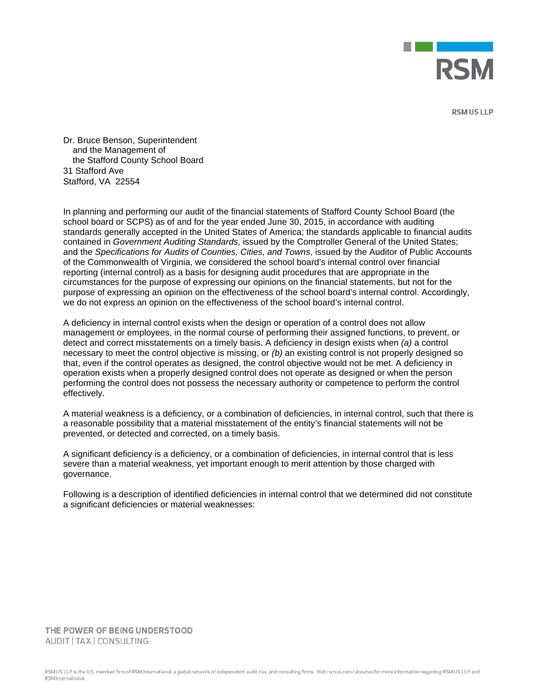

**RSM US LLP** 

Dr. Bruce Benson, Superintendent and the Management of the Stafford County School Board 31 Stafford Ave Stafford, VA 22554

In planning and performing our audit of the financial statements of Stafford County School Board (the school board or SCPS) as of and for the year ended June 30, 2015, in accordance with auditing standards generally accepted in the United States of America; the standards applicable to financial audits contained in *Government Auditing Standards,* issued by the Comptroller General of the United States; and the *Specifications for Audits of Counties, Cities, and Towns*, issued by the Auditor of Public Accounts of the Commonwealth of Virginia, we considered the school board's internal control over financial reporting (internal control) as a basis for designing audit procedures that are appropriate in the circumstances for the purpose of expressing our opinions on the financial statements, but not for the purpose of expressing an opinion on the effectiveness of the school board's internal control. Accordingly, we do not express an opinion on the effectiveness of the school board's internal control.

A deficiency in internal control exists when the design or operation of a control does not allow management or employees, in the normal course of performing their assigned functions, to prevent, or detect and correct misstatements on a timely basis. A deficiency in design exists when *(a)* a control necessary to meet the control objective is missing, or *(b)* an existing control is not properly designed so that, even if the control operates as designed, the control objective would not be met. A deficiency in operation exists when a properly designed control does not operate as designed or when the person performing the control does not possess the necessary authority or competence to perform the control effectively.

A material weakness is a deficiency, or a combination of deficiencies, in internal control, such that there is a reasonable possibility that a material misstatement of the entity's financial statements will not be prevented, or detected and corrected, on a timely basis.

A significant deficiency is a deficiency, or a combination of deficiencies, in internal control that is less severe than a material weakness, yet important enough to merit attention by those charged with governance.

Following is a description of identified deficiencies in internal control that we determined did not constitute a significant deficiencies or material weaknesses:

THE POWER OF BEING UNDERSTOOD AUDIT | TAX | CONSULTING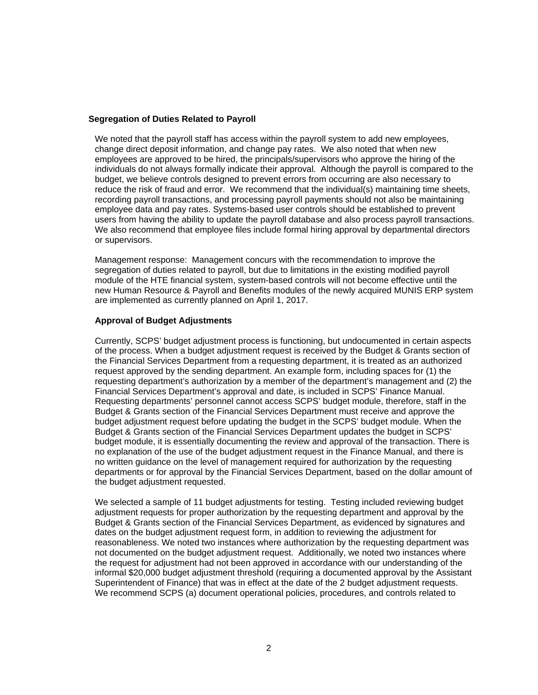## **Segregation of Duties Related to Payroll**

We noted that the payroll staff has access within the payroll system to add new employees, change direct deposit information, and change pay rates. We also noted that when new employees are approved to be hired, the principals/supervisors who approve the hiring of the individuals do not always formally indicate their approval. Although the payroll is compared to the budget, we believe controls designed to prevent errors from occurring are also necessary to reduce the risk of fraud and error. We recommend that the individual(s) maintaining time sheets, recording payroll transactions, and processing payroll payments should not also be maintaining employee data and pay rates. Systems-based user controls should be established to prevent users from having the ability to update the payroll database and also process payroll transactions. We also recommend that employee files include formal hiring approval by departmental directors or supervisors.

Management response: Management concurs with the recommendation to improve the segregation of duties related to payroll, but due to limitations in the existing modified payroll module of the HTE financial system, system-based controls will not become effective until the new Human Resource & Payroll and Benefits modules of the newly acquired MUNIS ERP system are implemented as currently planned on April 1, 2017.

## **Approval of Budget Adjustments**

Currently, SCPS' budget adjustment process is functioning, but undocumented in certain aspects of the process. When a budget adjustment request is received by the Budget & Grants section of the Financial Services Department from a requesting department, it is treated as an authorized request approved by the sending department. An example form, including spaces for (1) the requesting department's authorization by a member of the department's management and (2) the Financial Services Department's approval and date, is included in SCPS' Finance Manual. Requesting departments' personnel cannot access SCPS' budget module, therefore, staff in the Budget & Grants section of the Financial Services Department must receive and approve the budget adjustment request before updating the budget in the SCPS' budget module. When the Budget & Grants section of the Financial Services Department updates the budget in SCPS' budget module, it is essentially documenting the review and approval of the transaction. There is no explanation of the use of the budget adjustment request in the Finance Manual, and there is no written guidance on the level of management required for authorization by the requesting departments or for approval by the Financial Services Department, based on the dollar amount of the budget adjustment requested.

We selected a sample of 11 budget adjustments for testing. Testing included reviewing budget adjustment requests for proper authorization by the requesting department and approval by the Budget & Grants section of the Financial Services Department, as evidenced by signatures and dates on the budget adjustment request form, in addition to reviewing the adjustment for reasonableness. We noted two instances where authorization by the requesting department was not documented on the budget adjustment request. Additionally, we noted two instances where the request for adjustment had not been approved in accordance with our understanding of the informal \$20,000 budget adjustment threshold (requiring a documented approval by the Assistant Superintendent of Finance) that was in effect at the date of the 2 budget adjustment requests. We recommend SCPS (a) document operational policies, procedures, and controls related to